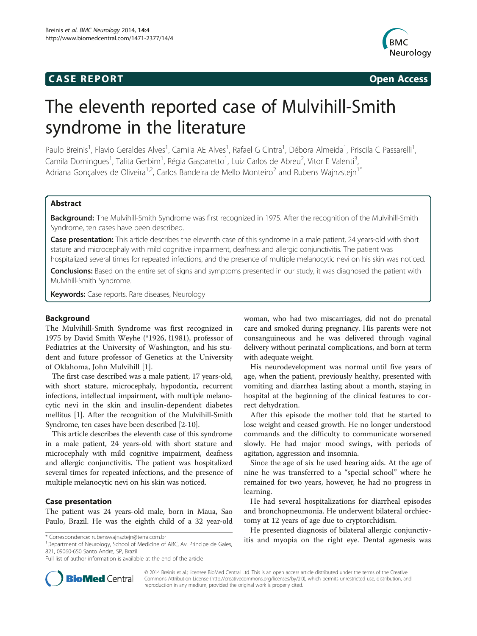### **CASE REPORT CASE REPORT**



# The eleventh reported case of Mulvihill-Smith syndrome in the literature

Paulo Breinis<sup>1</sup>, Flavio Geraldes Alves<sup>1</sup>, Camila AE Alves<sup>1</sup>, Rafael G Cintra<sup>1</sup>, Débora Almeida<sup>1</sup>, Priscila C Passarelli<sup>1</sup> , Camila Domingues<sup>1</sup>, Talita Gerbim<sup>1</sup>, Régia Gasparetto<sup>1</sup>, Luiz Carlos de Abreu<sup>2</sup>, Vitor E Valenti<sup>3</sup> , Adriana Goncalves de Oliveira<sup>1,2</sup>, Carlos Bandeira de Mello Monteiro<sup>2</sup> and Rubens Wajnzstejn<sup>1\*</sup>

#### Abstract

Background: The Mulvihill-Smith Syndrome was first recognized in 1975. After the recognition of the Mulvihill-Smith Syndrome, ten cases have been described.

Case presentation: This article describes the eleventh case of this syndrome in a male patient, 24 years-old with short stature and microcephaly with mild cognitive impairment, deafness and allergic conjunctivitis. The patient was hospitalized several times for repeated infections, and the presence of multiple melanocytic nevi on his skin was noticed.

Conclusions: Based on the entire set of signs and symptoms presented in our study, it was diagnosed the patient with Mulvihill-Smith Syndrome.

**Keywords:** Case reports, Rare diseases, Neurology

#### Background

The Mulvihill-Smith Syndrome was first recognized in 1975 by David Smith Weyhe (\*1926, ł1981), professor of Pediatrics at the University of Washington, and his student and future professor of Genetics at the University of Oklahoma, John Mulvihill [\[1](#page-3-0)].

The first case described was a male patient, 17 years-old, with short stature, microcephaly, hypodontia, recurrent infections, intellectual impairment, with multiple melanocytic nevi in the skin and insulin-dependent diabetes mellitus [\[1](#page-3-0)]. After the recognition of the Mulvihill-Smith Syndrome, ten cases have been described [\[2](#page-3-0)-[10](#page-3-0)].

This article describes the eleventh case of this syndrome in a male patient, 24 years-old with short stature and microcephaly with mild cognitive impairment, deafness and allergic conjunctivitis. The patient was hospitalized several times for repeated infections, and the presence of multiple melanocytic nevi on his skin was noticed.

#### Case presentation

The patient was 24 years-old male, born in Maua, Sao Paulo, Brazil. He was the eighth child of a 32 year-old

<sup>1</sup>Department of Neurology, School of Medicine of ABC, Av. Príncipe de Gales, 821, 09060-650 Santo Andre, SP, Brazil

Full list of author information is available at the end of the article

woman, who had two miscarriages, did not do prenatal care and smoked during pregnancy. His parents were not consanguineous and he was delivered through vaginal delivery without perinatal complications, and born at term with adequate weight.

His neurodevelopment was normal until five years of age, when the patient, previously healthy, presented with vomiting and diarrhea lasting about a month, staying in hospital at the beginning of the clinical features to correct dehydration.

After this episode the mother told that he started to lose weight and ceased growth. He no longer understood commands and the difficulty to communicate worsened slowly. He had major mood swings, with periods of agitation, aggression and insomnia.

Since the age of six he used hearing aids. At the age of nine he was transferred to a "special school" where he remained for two years, however, he had no progress in learning.

He had several hospitalizations for diarrheal episodes and bronchopneumonia. He underwent bilateral orchiectomy at 12 years of age due to cryptorchidism.

He presented diagnosis of bilateral allergic conjunctiv\* Correspondence: [rubenswajnsztejn@terra.com.br](mailto:rubenswajnsztejn@terra.com.br) itis and myopia on the right eye. Dental agenesis was



© 2014 Breinis et al.; licensee BioMed Central Ltd. This is an open access article distributed under the terms of the Creative Commons Attribution License [\(http://creativecommons.org/licenses/by/2.0\)](http://creativecommons.org/licenses/by/2.0), which permits unrestricted use, distribution, and reproduction in any medium, provided the original work is properly cited.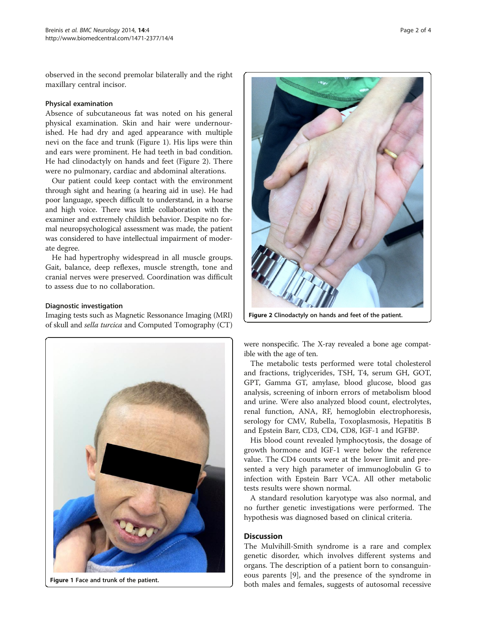observed in the second premolar bilaterally and the right maxillary central incisor.

#### Physical examination

Absence of subcutaneous fat was noted on his general physical examination. Skin and hair were undernourished. He had dry and aged appearance with multiple nevi on the face and trunk (Figure 1). His lips were thin and ears were prominent. He had teeth in bad condition. He had clinodactyly on hands and feet (Figure 2). There were no pulmonary, cardiac and abdominal alterations.

Our patient could keep contact with the environment through sight and hearing (a hearing aid in use). He had poor language, speech difficult to understand, in a hoarse and high voice. There was little collaboration with the examiner and extremely childish behavior. Despite no formal neuropsychological assessment was made, the patient was considered to have intellectual impairment of moderate degree.

He had hypertrophy widespread in all muscle groups. Gait, balance, deep reflexes, muscle strength, tone and cranial nerves were preserved. Coordination was difficult to assess due to no collaboration.

#### Diagnostic investigation

Imaging tests such as Magnetic Ressonance Imaging (MRI) of skull and sella turcica and Computed Tomography (CT)





Figure 2 Clinodactyly on hands and feet of the patient.

were nonspecific. The X-ray revealed a bone age compatible with the age of ten.

The metabolic tests performed were total cholesterol and fractions, triglycerides, TSH, T4, serum GH, GOT, GPT, Gamma GT, amylase, blood glucose, blood gas analysis, screening of inborn errors of metabolism blood and urine. Were also analyzed blood count, electrolytes, renal function, ANA, RF, hemoglobin electrophoresis, serology for CMV, Rubella, Toxoplasmosis, Hepatitis B and Epstein Barr, CD3, CD4, CD8, IGF-1 and IGFBP.

His blood count revealed lymphocytosis, the dosage of growth hormone and IGF-1 were below the reference value. The CD4 counts were at the lower limit and presented a very high parameter of immunoglobulin G to infection with Epstein Barr VCA. All other metabolic tests results were shown normal.

A standard resolution karyotype was also normal, and no further genetic investigations were performed. The hypothesis was diagnosed based on clinical criteria.

#### **Discussion**

The Mulvihill-Smith syndrome is a rare and complex genetic disorder, which involves different systems and organs. The description of a patient born to consanguineous parents [\[9](#page-3-0)], and the presence of the syndrome in Figure 1 Face and trunk of the patient.<br>
both males and females, suggests of autosomal recessive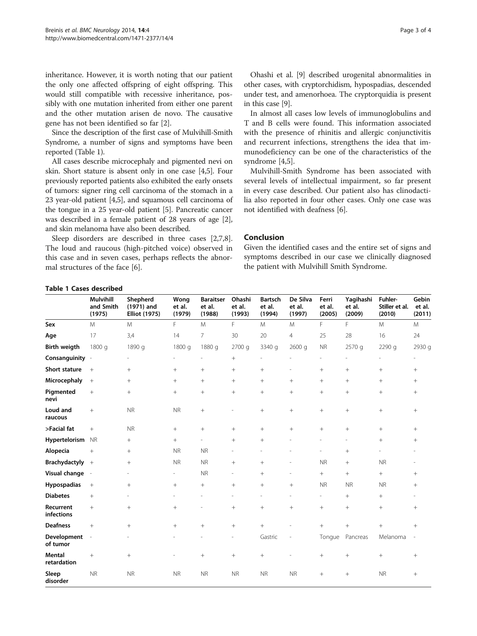inheritance. However, it is worth noting that our patient the only one affected offspring of eight offspring. This would still compatible with recessive inheritance, possibly with one mutation inherited from either one parent and the other mutation arisen de novo. The causative gene has not been identified so far [\[2\]](#page-3-0).

Since the description of the first case of Mulvihill-Smith Syndrome, a number of signs and symptoms have been reported (Table 1).

All cases describe microcephaly and pigmented nevi on skin. Short stature is absent only in one case [[4,5\]](#page-3-0). Four previously reported patients also exhibited the early onsets of tumors: signer ring cell carcinoma of the stomach in a 23 year-old patient [\[4,5\]](#page-3-0), and squamous cell carcinoma of the tongue in a 25 year-old patient [\[5\]](#page-3-0). Pancreatic cancer was described in a female patient of 28 years of age [[2](#page-3-0)], and skin melanoma have also been described.

Sleep disorders are described in three cases [\[2,7,8](#page-3-0)]. The loud and raucous (high-pitched voice) observed in this case and in seven cases, perhaps reflects the abnormal structures of the face [\[6](#page-3-0)].

Ohashi et al. [\[9](#page-3-0)] described urogenital abnormalities in other cases, with cryptorchidism, hypospadias, descended under test, and amenorhoea. The cryptorquidia is present in this case [[9](#page-3-0)].

In almost all cases low levels of immunoglobulins and T and B cells were found. This information associated with the presence of rhinitis and allergic conjunctivitis and recurrent infections, strengthens the idea that immunodeficiency can be one of the characteristics of the syndrome [\[4,5\]](#page-3-0).

Mulvihill-Smith Syndrome has been associated with several levels of intellectual impairment, so far present in every case described. Our patient also has clinodactilia also reported in four other cases. Only one case was not identified with deafness [[6\]](#page-3-0).

#### Conclusion

Given the identified cases and the entire set of signs and symptoms described in our case we clinically diagnosed the patient with Mulvihill Smith Syndrome.

#### Table 1 Cases described

|                         | <b>Mulvihill</b><br>and Smith<br>(1975) | Shepherd<br>(1971) and<br><b>Elliot (1975)</b> | Wong<br>et al.<br>(1979) | <b>Baraitser</b><br>et al.<br>(1988) | Ohashi<br>et al.<br>(1993) | <b>Bartsch</b><br>et al.<br>(1994) | De Silva<br>et al.<br>(1997) | Ferri<br>et al.<br>(2005) | Yagihashi<br>et al.<br>(2009) | Fuhler-<br>Stiller et al.<br>(2010) | Gebin<br>et al.<br>(2011) |
|-------------------------|-----------------------------------------|------------------------------------------------|--------------------------|--------------------------------------|----------------------------|------------------------------------|------------------------------|---------------------------|-------------------------------|-------------------------------------|---------------------------|
| Sex                     | M                                       | M                                              | F.                       | M                                    | F                          | M                                  | M                            | F                         | F                             | M                                   | M                         |
| Age                     | 17                                      | 3,4                                            | 14                       | $\overline{7}$                       | 30                         | 20                                 | 4                            | 25                        | 28                            | 16                                  | 24                        |
| <b>Birth weigth</b>     | 1800 g                                  | 1890 g                                         | 1800 g                   | 1880 g                               | 2700 g                     | 3340 g                             | 2600 g                       | <b>NR</b>                 | 2570 g                        | 2290 g                              | 2930 g                    |
| Consanguinity           | $\overline{\phantom{a}}$                |                                                |                          |                                      | $+$                        |                                    |                              |                           |                               |                                     |                           |
| Short stature           | $+$                                     | $^{+}$                                         | $^{+}$                   | $+$                                  | $+$                        | $^{+}$                             | $\overline{\phantom{a}}$     | $+$                       | $^{+}$                        | $^{+}$                              | $^{+}$                    |
| Microcephaly            | $+$                                     | $+$                                            | $+$                      | $+$                                  | $+$                        | $^{+}$                             | $+$                          | $+$                       | $^{+}$                        | $^{+}$                              | $+$                       |
| Pigmented<br>nevi       | $^{+}$                                  | $^{+}$                                         | $+$                      | $+$                                  | $+$                        | $^{+}$                             | $^{+}$                       | $^{+}$                    | $^{+}$                        | $^{+}$                              | $+$                       |
| Loud and<br>raucous     | $+$                                     | <b>NR</b>                                      | <b>NR</b>                | $+$                                  |                            | $^{+}$                             | $^{+}$                       | $+$                       | $^{+}$                        | $^{+}$                              | $+$                       |
| >Facial fat             | $^{+}$                                  | <b>NR</b>                                      | $+$                      | $+$                                  | $+$                        | $^{+}$                             | $^{+}$                       | $^{+}$                    | $^{+}$                        | $^{+}$                              | $^{+}$                    |
| Hypertelorism           | <b>NR</b>                               | $^{+}$                                         | $+$                      | ÷.                                   | $+$                        | $^{+}$                             |                              | ٠                         | $\overline{\phantom{a}}$      | $^{+}$                              | $+$                       |
| Alopecia                | $+$                                     | $\! + \!\!\!\!$                                | <b>NR</b>                | <b>NR</b>                            | ٠                          |                                    |                              | L.                        | $^{+}$                        |                                     |                           |
| <b>Brachydactyly</b>    | $+$                                     |                                                | <b>NR</b>                | <b>NR</b>                            | $+$                        | $^{+}$                             | ÷                            | <b>NR</b>                 | $^{+}$                        | <b>NR</b>                           |                           |
| Visual change           | $\overline{\phantom{a}}$                | ۰                                              | $\overline{\phantom{a}}$ | <b>NR</b>                            | $\overline{\phantom{a}}$   | $^{+}$                             | $\overline{\phantom{a}}$     | $^{+}$                    | $^{+}$                        | $^{+}$                              | $+$                       |
| Hypospadias             | $+$                                     | $\! + \!\!\!\!$                                | $+$                      | $+$                                  | $+$                        | $^{+}$                             | $+$                          | <b>NR</b>                 | <b>NR</b>                     | <b>NR</b>                           | $+$                       |
| <b>Diabetes</b>         | $+$                                     | ۰                                              |                          | $\overline{\phantom{a}}$             | $\overline{\phantom{a}}$   | ٠                                  | ٠                            | $\overline{\phantom{0}}$  | $^{+}$                        | $^{+}$                              |                           |
| Recurrent<br>infections | $+$                                     | $\! + \!\!\!\!$                                | $^{+}$                   | ÷,                                   | $^{+}$                     | $+$                                | $^{+}$                       | $+$                       | $^{+}$                        | $^{+}$                              | $^{+}$                    |
| <b>Deafness</b>         | $+$                                     |                                                | $+$                      | $+$                                  | $^{+}$                     | $^{+}$                             |                              | $^{+}$                    | $+$                           | $^{+}$                              | $+$                       |
| Development<br>of tumor | $\overline{\phantom{a}}$                |                                                |                          |                                      |                            | Gastric                            | L,                           | Tongue                    | Pancreas                      | Melanoma                            | $\overline{\phantom{a}}$  |
| Mental<br>retardation   |                                         | $\! + \!$                                      |                          | $+$                                  |                            | $^{+}$                             |                              | $^{+}$                    |                               | $^{+}$                              | $+$                       |
| Sleep<br>disorder       | <b>NR</b>                               | <b>NR</b>                                      | <b>NR</b>                | <b>NR</b>                            | <b>NR</b>                  | <b>NR</b>                          | <b>NR</b>                    | $^{+}$                    | $^{+}$                        | <b>NR</b>                           | $^{+}$                    |